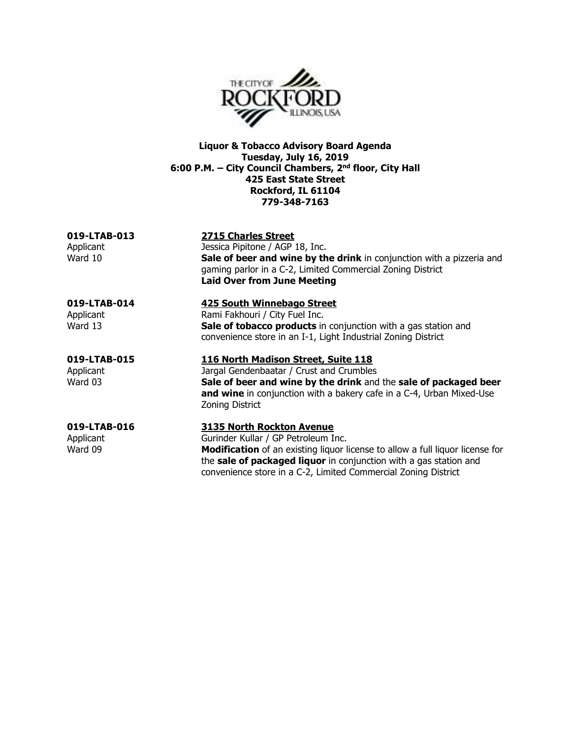

**Liquor & Tobacco Advisory Board Agenda Tuesday, July 16, 2019 6:00 P.M. – City Council Chambers, 2nd floor, City Hall 425 East State Street Rockford, IL 61104 779-348-7163** 

**019-LTAB-013 2715 Charles Street**  Applicant Jessica Pipitone / AGP 18, Inc.<br>Ward 10 **Sale of beer and wine by the Australian Sale of beer and wine by the United States Sale of beer and wine by the drink** in conjunction with a pizzeria and gaming parlor in a C-2, Limited Commercial Zoning District **Laid Over from June Meeting** 

# **019-LTAB-014 425 South Winnebago Street**

Applicant **Rami Fakhouri / City Fuel Inc.** Ward 13 **Sale of tobacco products** in conjunction with a gas station and convenience store in an I-1, Light Industrial Zoning District

# **019-LTAB-015 116 North Madison Street, Suite 118**

Applicant Jargal Gendenbaatar / Crust and Crumbles<br>Ward 03 **Sale of beer and wine by the drink** and Sale of beer and wine by the drink and the sale of packaged beer **and wine** in conjunction with a bakery cafe in a C-4, Urban Mixed-Use Zoning District

### **019-LTAB-016 3135 North Rockton Avenue**  Applicant Gurinder Kullar / GP Petroleum Inc. Ward 09 **Modification** of an existing liquor license to allow a full liquor license for

the **sale of packaged liquor** in conjunction with a gas station and convenience store in a C-2, Limited Commercial Zoning District